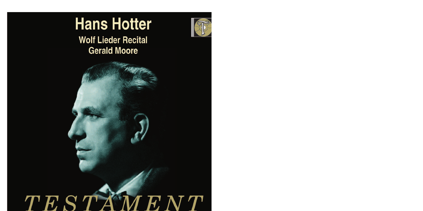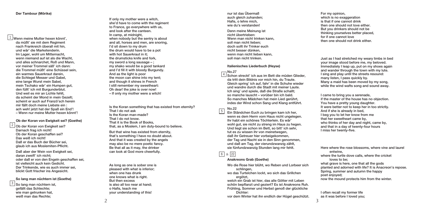$\mathbf{\frac{1}{1}}$ Wenn meine Mutter hexen könnt', da müßt' sie mit dem Regiment nach Frankreich überall mit hin, und wär' die Marketenderin. Im Lager, wohl um Mitternacht, wenn niemand auf ist als die Wacht, und alles schnarchet, Roß und Mann, vor meiner Trommel säß' ich dann: die Trommel müßt' eine Schüssel sein, ein warmes Sauerkraut darein, die Schlegel Messer und Gabel, eine lange Wurst mein Sabel, mein Tschako wär' ein Humpen gut, den füllt' ich mit Burgunderblut. Und weil es mir an Lichte fehlt, da scheint der Mond in mein Gezelt; scheint er auch auf Franzö'sch herein mir fällt doch meine Liebste ein : ach weh! jetzt hat der Spaß ein End'! – Wenn nur meine Mutter hexen könnt'!

# **Ob der Koran von Ewigkeit sei? (Goethe)**

 $2$  Ob der Koran von Ewigkeit sei? Darnach frag ich nicht! Ob der Koran geschaffen sei? Das weiß ich nicht! Daß er das Buch der Bücher sei, glaub ich aus Moslemiten-Pflicht.

Daß aber der Wein von Ewigkeit sei, daran zweifl' ich nicht; oder daß er von den Engeln geschaffen sei, ist vielleicht auch kein Gedicht. Der Trinkende, wie es auch immer sei, blickt Gott frischer ins Angesicht.

# **So lang man nüchtern ist (Goethe)**

 $3$  So lang man nüchtern ist, gefällt das Schlechte; wie man getrunken hat, weiß man das Rechte;

If only my mother were a witch, she'd have to come with the regiment to France, go everywhere with us, and look after the canteen. In camp, at midnight, when nobody but the sentry is about and all, horses and men, are snoring, I'd sit down to my drum the drum would have to be a pot with hot Sauerkraut in it: the drumsticks knife and fork, my sword a long sausage  $-$  ; my shako would be a good tankard and I'd fill it with bloody Burgundy. And as the light is poor the moon can shine into my tent; and though it shines in French I still remember my sweetheart: Oh dear! the joke is over now! – If only my mother were a witch!

Is the Koran something that has existed from eternity? That I do not ask Is the Koran man-made? That I do not know. That it is the Book of Books, that, as a Moslem, I am duty-bound to believe.

But that wine has existed from eternity, that's something I have no doubt about. And that it was created by the angels may also be no mere poetic fancy. Be that all as it may, the drinker can look at God more cheerfully.

As long as one is sober one is pleased with what is inferior; when one has drunk one knows what is right. But then excess is also all too near at hand; o Hafis, teach me your understanding of this!

nur ist das Übermaß auch gleich zuhanden; Hafis, o lehre mich, wie du's verstanden!

Denn meine Meinung ist nicht übertrieben: Wenn man nicht trinken kann soll man nicht lieben; doch sollt ihr Trinker euch nicht besser dünken, wenn man nicht lieben kann, soll man nicht trinken.

### **Italienisches Liederbuch (Heyse)**

No.27 Schon streckt' ich aus im Bett die müden Glieder, 4 da tritt dein Bildnis vor mich hin, du Traute. Gleich spring' ich auf, fahr' in die Schuhe wieder und wandre durch die Stadt mit meiner Laute. Ich sing' und spiele, daß die Straße schallt; so manche lauscht – vorüber bin ich bald. So manches Mädchen hat mein Lied gerührt, indes der Wind schon Sang und Klang entführt.

#### No.22 5

Ein Ständchen Euch zu bringen kam ich her, wenn es dem Herrn vom Haus nicht ungelegen. Ihr habt ein schönes Töchterlein. Es wär' wohl gut, sie nicht zu streng im Haus zu hegen. Und liegt sie schon im Bett, so bitt' ich sehr, tut es zu wissen ihr von meinetwegen, daß ihr Getreuer hier vorbeigekommen, der Tag und Nacht sie in den Sinn genommen, und daß am Tag, der vierundzwanzig zählt, sie fünfundzwanzig Stunden lang mir fehlt.

# & 6 22

# **Anakreons Grab (Goethe)**

Wo die Rose hier blüht, wo Reben und Lorbeer sich schlingen,

wo das Turtelchen lockt, wo sich das Grillchen ergötzt

welch ein Grab ist hier, das alle Götter mit Leben schön bepflanzt und geziert? Es ist Anakreons Ruh. Frühling, Sommer und Herbst genoß der glückliche Dichter:

vor dem Winter hat ihn endlich der Hügel geschützt.

For my opinion, which is no exaggeration is that if one cannot drink then one should not love either. But you drinkers should not be thinking yourselves better placed, for if one cannot love then one should not drink either.

Just as I had stretched my weary limbs in bed your image stood before me, my beloved. Immediately I leap up, put on my shoes again and wander through the town with my lute. I sing and play until the streets resound: many listen, I pass quickly by. Many a maid has been moved by my song, while the wind wafts song and sound away.

I came to bring you a serenade, if the master of the house has no objection. You have a pretty young daughter. It were better not to keep her in too strictly. And if she is already in bed, I beg you to let her know from me that her sweetheart came by, who thinks of her day and night, came by, and that in a day of twenty-four hours I miss her twenty-five.

Here where the rose blossoms, where vine and laurel entwine, where the turtle dove calls, where the cricket loves to be; what grave is here, one that all the gods planted and adorned with life? It is Anacreon's repose. Spring, summer and autumn the happy poet enjoyed; now the mound protects him from the winter.

I often recall my former life as it was before I loved you;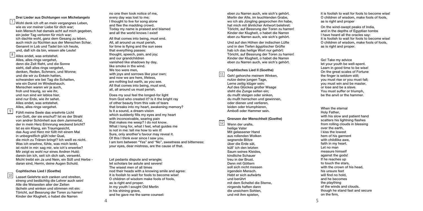# **Drei Lieder aus Dichtungen von Michelangelo**

 $\frac{7}{4}$ Wohl denk ich oft an mein vergangnes Leben, wie es vor meiner Liebe für dich war; kein Mensch hat damals acht auf mich gegeben, ein jeder Tag verloren für mich war; ich dachte wohl, ganz dem Gesang zu leben, auch mich zu flüchten aus der Menschen Schar. Genannt in Lob und Tadel bin ich heute, und, daß ich da bin, wissen alle Leute!

 $8$  Alles endet, was entstehet. Alles, alles rings vergehet, denn die Zeit flieht, und die Sonne sieht, daß alles rings vergehet, denken, Reden, Schmerz, und Wonne; und die wir zu Enkeln hatten, schwanden wie bei Tag die Schatten, wie ein Dunst im Windeshauch. Menschen waren wir ja auch, froh und traurig, so wie ihr, und nun sind wir leblos hier, sind nur Erde, wie ihr sehet. Alles endet, was entstehet. Alles, alles rings vergehet.

 $\sqrt{9}$ 

10

Fühlt meine Seele das ersehnte Licht von Gott, der sie erschuf? Ist es der Strahl von andrer Schönheit aus dem Jammertal, der in mein Herz Erinnrung weckend bricht? Ist es ein Klang, ein Traumgesicht, das Aug und Herz mir füllt mit einem Mal in unbegreiflich glüh'nder Qual, die mich zu Tränen bringt? Ich weiß es nicht. Was ich ersehne, fühle, was mich lenkt, ist nicht in mir: sag mir, wie ich's erwerbe? Mir zeigt es wohl nur eines Andren Huld; darein bin ich, seit ich dich sah, versenkt. Micht treibt ein Ja und Nein, ein Süß und Herbe daran sind, Herrin, deine Augen Schuld.

#### **Cophtisches Lied I (Goethe)**

Lasset Gelehrte sich zanken und streiten, streng und bedächtig die Lehrer auch sein! Alle die Weisesten aller der Zeiten lächeln und winken und stimmen mit ein: Töricht, auf Bessrung der Toren zu harren! Kinder der Klugheit, o habet die Narren

no one then took notice of me, every day was lost to me; I thought to live for song alone and flee the madding crowd. Today my name is praised and blamed and all the world knows I exist!

All that comes into being, must end. All, all around us must perish for time is flying and the sun sees that everything passes: thought, speech, pain, and joy; and our grandchildren vanished like shadows by day, like smoke in the wind. We too were men with joys and sorrows like your own; and now we are here, lifeless, are nothing but earth, as you see. All that comes into being, must end, all, all around us must perish.

Does my soul feel the longed-for light from God who created it? Is it the bright ray of other beauty from this vale of tears that breaks into my heart, awakening memory? Is it a sound, a dream-vision which suddenly fills my eyes and my heart with inconceivable, searing pain that makes me weep? I do not know. What I long for, what I feel, what guides me is not in me: tell me how to win it! Sure, only another's favour may reveal it. Of this I think ever since I saw you. I am torn between "Yes" and "No", sweetness and bitterness: your eyes, dear mistress, are the cause of that.

Let pedants dispute and wrangle: let scholars be astute and severe The wisest men of all times nod their heads with a knowing smile and agree: it is foolish to wait for fools to become wise O children of wisdom make fools of fools, as is right and proper. In my youth I sought Old Merlin in his shining grave, and he gave me the same counsel:

eben zu Narren auch, wie sich's gehört. Merlin der Alte, im leuchtenden Grabe, wo ich als Jüngling gesprochen ihn habe, hat mich mit ähnlicher Antwort belehret: Töricht, auf Bessrung der Toren zu harren! Kinder der Klugheit, o habet die Narren eben zu Narren auch, wie sich's gehört.

Und auf den Höhen der indischen Lüfte und in den Tiefen ägyptischer Grüfte hab ich das heilige Wort nur gehört: Töricht, auf Bessrung der Toren zu harren! Kinder der Klugheit, o habet die Narren eben zu Narren auch, wie sich's gehört.

# **Cophtisches Lied II (Goethe)**

Geh! gehorche meinem Winken, nutze deine jungen Tage. Lerne zeitig klüger sein: Auf des Glückes großer Waage steht die Zunge selten ein; du mußt steigen oder sinken, du mußt herrschen und gewinnen, oder dienen und verlieren, leiden oder triumphieren, Amboß oder Hammer sein.

#### **Grenzen der Menschheit (Goethe)**

Wenn der uralte heilige Vater Mit gelassener Hand aus rollenden Wolken segnende Blitze über die Erde sät, küß' ich den letzten Saum seines Kleides, kindliche Schauer treu in der Brust. Denn mit Göttern soll sich nicht messen irgendein Mensch. Hebt er sich aufwärts und berührt mit dem Scheitel die Sterne, nirgends haften dann die unsichern Sohlen, und mit ihm spielen,

12

11

it is foolish to wait for fools to become wise! O children of wisdom, make fools of fools, as is right and proper

On the wind-swept peaks of India, and in the depths of Egyptian tombs I have heard all the oracles say: it is foolish to wait for fools to become wise! O children of wisdom, make fools of fools, as is right and proper.

Go! Take my advice let your youth be well-spent. Learn in good time to be wise! On the great scales of Fortune the finger is seldom still; you must rise or you must fall; you must win and be master, or lose and be a slave. You must suffer or triumph, be the anvil or the hammer.

When the eternal Holy Father, with his slow and patient hand scatters his lightning flashes from rolling clouds in blessing over the earth, I kiss the lowest hem of his garment with childlike awe faith in my heart. Let no man measure himself against the gods! If he reaches up to touch the stars with the crown of his head, his unsure feet will find no hold and he becomes the plaything of the winds and clouds. though he stand fast and secure on the firm,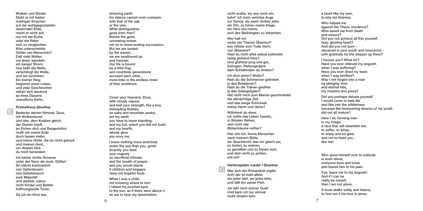Wolken und Winde. Steht er mit festen markigen Knochen auf der wohlgegründeten dauernden Erde, reicht er nicht auf, nur mit der Eiche oder der Rebe sich zu vergleichen. Was unterscheidet Götter von Menschen? Daß viele Wellen vor jenen wandeln, ein ewiger Strom: Uns hebt die Welle, verschlingt die Welle, und wir versinken. Ein kleiner Ring begrenzt unser Leben, und viele Geschlechter reihen sich dauernd an ihres Daseins unendliche Kette.

#### **Prometheus (Goethe)**

1 3

Bedecke deinen Himmel, Zeus, mit Wolkendunst und übe, dem Knaben gleich, der Disteln köpft, an Eichen dich und Bergeshöhn; mußt mir meine Erde doch lassen stehn und meine Hütte, die du nicht gebaut, und meinen Herd, um dessen Glut du mich beneidest.

Ich kenne nichts Ärmeres unter der Sonn als euch, Götter! lhr nähret kümmerlich von Opfersteuern und Gebetshauch eure Majestät und darbtet, wären nicht Kinder und Bettler hoffnungsvolle Toren.

Da ich ein Kind war,

enduring earth, his stature cannot even compare with that of the oak or the vine. What distinguishes gods from men? Before the gods, unceasing waves roll on in never-ending succession. But we are tossed by the waves; we are swallowed up and founder. Our life is bound by a little ring, and countless generations succeed each other, mere links in the endless chain of their existence.

Cover your heavens, Zeus, with cloudy vapour, and test your strength, like a boy beheading thistles, on oaks and mountain peaks; yet my earth you have to leave standing, and my hut, which you did not build and my hearth, whose glow you envy me.

I know nothing more wretched under the sun than you, gods! Scantily you feed your majesty on sacrificial tributes and the breath of prayer, and you would starve if children and beggars were not hopeful fools.

When I was a child, not knowing where to turn I raised my puzzled eyes to the sun, as if there were above it an ear to hear my lamentation,

nicht wußte, wo aus noch ein, kehrt' ich mein verirrtes Auge zur Sonne, als wenn drüber wäre ein Ohr, zu hören meine Klage, ein Herz wie meins, sich des Bedrängten zu erbarmen.

Wer half mir wider der Titanen Ubermut? wer rettete vom Tode mich, von Sklaverei? Hast du nicht alles selbst vollendet, heilig glühend Herz? Und glühtest jung und gut, betrogen, Rettungsdank dem Schlafenden da droben?

Ich dich ehren? Wofür? Hast du die Schmerzen gelindert je des Beladenen? Hast du die Tränen gestillet je des Geängstigten? Hat nicht mich zum Manne geschmiedet die allmächtige Zeit und das ewige Schicksal, meine Herrn und deine?

Wähntest du etwa, ich sollte das Leben hassen, in Wüsten fliehen, weil nicht alle Blütenträume reiften?

Hier sitz ich, forme Menschen nach meinem Bilde, ein Geschlecht, das mir gleich sei, zu leiden, zu weinen, zu genießen und zu freuen sich, und dein nicht zu achten, wie ich!

#### Harfenspieler-Lieder I (Goethe)

Wer sich der Einsamkeit ergibt, Ach! der ist bald allein; ein jeder lebt, ein jeder liebt, und läßt ihn seiner Pein. 4

1

Ja! laßt mich meiner Qual! Und kann ich nur einmal recht einsam sein,

a heart like my own, to pity my distress.

Who helped me against the Titans' insolence? Who saved me from death and slavery? Did you not achieve all this yourself, holy, glowing heart? And did you not burn deceived in your youth and innocence with gratitude for the sleeper up there?

I honour you? What for? Have you ever relieved my anguish when I was suffering? Have you ever dried my tears when I was terrified? Was I not forged into a man by almighty time and eternal fate, my masters and yours?

Did you perhaps delude yourself I would come to hate life and flee into the wilderness because the blossoming dreams of my youth did not all mature?

Here I sit, forming men in my image, a race that will resemble me; to suffer, to weep, to enjoy and be glad, and not to heed you like me!

Who gives himself over to solitude is soon alone; everyone lives and loves and leaves him to his pain.

Yes, leave me to my anguish! And if I can be really by myself, then I am not alone.

A lover stalks softly and listens, to find out if his love is alone.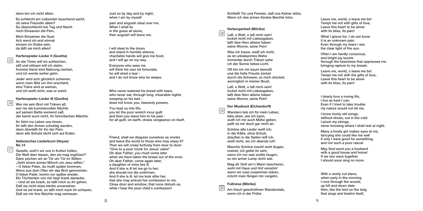dann bin ich nicht allein.

Es schleicht ein Liebender lauschend sacht, ob seine Freundin allein? So überschleicht bei Tag und Nacht mich Einsamen die Pein,

Mich Einsamen die Qual. Ach werd ich erst einmal einsam im Grabe sein, da läßt sie mich allein!

# Harfenspieler-Lieder II (Goethe)

An die Türen will ich schleichen, still und sittsam will ich stehn, fromme Hand wird Nahrung reichen, und ich werde weiter gehn.

Jeder wird sich glücklich scheinen, wenn mein Bild vor ihm erscheint, eine Träne wird er weinen, und ich weiß nicht, was er weint.

# Harfenspieler-Lieder III (Goethe)

Wer nie sein Brot mit Tränen aß, wer nie die kummervollen Nächte auf seinem Bette weinend saß, der kennt euch nicht, ihr himmlischen Mächte.

lhr führt ins Leben uns hinein, ihr laßt den Armen schuldig werden, dann überlaßt ihr ihn der Pein; denn alle Schuld rächt sich auf Erden.

# Italienisches Liederbuch (Heyse) **N o . 1 4**

1 7

1 6

1 5

Geselle, woll'n wir uns in Kutten hüllen, Die Welt dem lassen, den sie mag ergötzen? Dann pochen wir an Tür um Tür im Stillen: "Geht einem armen Mönch um Jesu willen." – O lieber Pater, du mußt später kommen, Wenn aus dem Ofen wir das Brot genommen. O lieber Pater, komm nur später wieder, Ein Töchterlein von mir liegt krank danieder. – Und ist sie krank, so laßt mich zu ihr gehen, Daß sie nicht etwa sterbe unversehen. Und ist sie krank, so laßt mich nach ihr schauen, Daß sie mir ihre Beichte mag vertrauen.

Just so by day and by night, when I am by myself pain and anguish steal over me. When I shall lie in the grave all alone, then anguish will leave me.

I will steal to the doors and stand in humble silence; charitable hands will give me food, and I will go on my way.

Everyone who sees me will think his own lot fortunate; he will shed a tear and I do not know why he weeps.

Who never watered his bread with tears, who never sat, through long, miserable nights weeping on his bed does not know you, heavenly powers.

You lead us into life, you let the poor wretch incur guilt and then you leave him to his pain for all guilt, on earth, draws vengeance on itself.

Friend, shall we disguise ourselves as monks and leave the world to those who may enjoy it? Then we will creep furtively from door to door: "Give to a poor monk for Jesus' sake!" Oh dear Father, you must come later when we have taken the bread out of the oven. Oh dear Father, come again later, a daughter of mine lies ill. And if she is ill let me go to her; she should not die unshriven. And if she is ill, let me look after her, that she may entrust her confession to me. Close door and window, that none disturb us, while I hear the poor child's confession!

Schließt Tür und Fenster, daß uns Keiner störe, Wenn ich des armen Kindes Beichte höre.

# **Verborgenheit (Mörike)**

1 8

1 9

 $LaB, o Welt, o IaB which sein!$ locket nicht mit Liebesgaben, laßt dies Herz alleine haben seine Wonne, seine Pein!

Was ich traure, weiß ich nicht, es ist unbekanntes Wehe immerdar durch Tränen sehe ich der Sonne liebes Licht.

Oft bin ich mir kaum bewußt und die helle Freude zücket durch die Schwere, so mich drücket, wonniglich in meiner Brust.

Laß, o Welt, o laß mich sein! locket nicht mit Liebesgaben, laßt dies Herz alleine haben seine Wonne, seine Pein!

#### Der Musikant (Eichendorff)

Wandern lieb ich für mein Leben, lebe eben, wie ich kann, wollt ich mir auch Mühe geben, paßt es mir doch gar nicht an.

Schöne alte Lieder weiß ich; in der Kälte, ohne Schuh, draußen in die Saiten reiß ich, weiß nicht, wo ich abends ruh!

Manche Schöne macht wohl Augen, meinet, ich gefiel ihr sehr, wenn ich nur was wollte taugen, so ein armer Lump nicht wär.

Mag dir Gott ein'n Mann bescheren, wohl mit Haus und Hof versehn! wenn wir zwei zusammen wären, möcht mein Singen mir vergehn.

# **Fußreise** (Mörike)

Am frisch geschnittnen Wanderstab, wenn ich in der Frühe 2 0

Leave me, world, o leave me be! Tempt me not with gifts of love, Leave this heart to be alone with its bliss, its pain

What I grieve for, I do not know it is an unknown pain. Even through my tears I see the clear light of the sun.

Often I am hardly conscious, and bright joy bursts through the heaviness that oppresses me bringing rapture to my breast.

Leave me, world, o leave me be! Tempt me not with the gifts of love, Leave this heart to be alone with its bliss, its pain!

I dearly love a roving life, I live as best I can. Even if I tried to take trouble my nature would not let me.

I know lovely old songs; without shoes, out in the cold I pluck my strings, never knowing where I shall rest at night.

Many a lovely girl makes eyes at me. fancying she could like me well if only I were good for something, and not such a poor rascal.

May God send you a husband with a good house and home! If we two were together I should soon sing no more.

With a newly cut stave, when early in the morning I rove through the woods, up hill and down dale: then, like the bird on the twig that sings and bestirs itself,